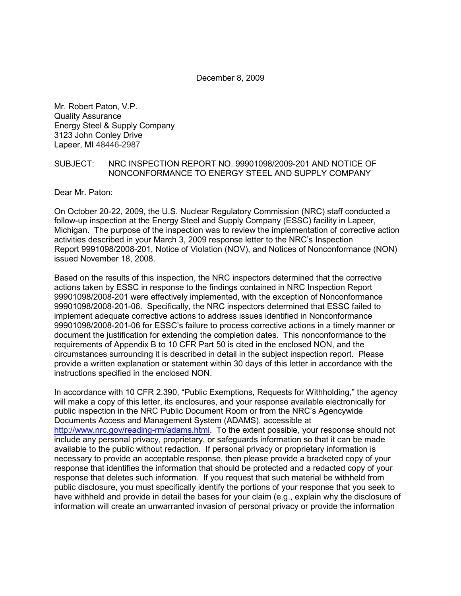December 8, 2009

Mr. Robert Paton, V.P. Quality Assurance Energy Steel & Supply Company 3123 John Conley Drive Lapeer, MI 48446-2987

#### SUBJECT: NRC INSPECTION REPORT NO. 99901098/2009-201 AND NOTICE OF NONCONFORMANCE TO ENERGY STEEL AND SUPPLY COMPANY

Dear Mr. Paton:

On October 20-22, 2009, the U.S. Nuclear Regulatory Commission (NRC) staff conducted a follow-up inspection at the Energy Steel and Supply Company (ESSC) facility in Lapeer, Michigan. The purpose of the inspection was to review the implementation of corrective action activities described in your March 3, 2009 response letter to the NRC's Inspection Report 9991098/2008-201, Notice of Violation (NOV), and Notices of Nonconformance (NON) issued November 18, 2008.

Based on the results of this inspection, the NRC inspectors determined that the corrective actions taken by ESSC in response to the findings contained in NRC Inspection Report 99901098/2008-201 were effectively implemented, with the exception of Nonconformance 99901098/2008-201-06. Specifically, the NRC inspectors determined that ESSC failed to implement adequate corrective actions to address issues identified in Nonconformance 99901098/2008-201-06 for ESSC's failure to process corrective actions in a timely manner or document the justification for extending the completion dates. This nonconformance to the requirements of Appendix B to 10 CFR Part 50 is cited in the enclosed NON, and the circumstances surrounding it is described in detail in the subject inspection report. Please provide a written explanation or statement within 30 days of this letter in accordance with the instructions specified in the enclosed NON.

In accordance with 10 CFR 2.390, "Public Exemptions, Requests for Withholding," the agency will make a copy of this letter, its enclosures, and your response available electronically for public inspection in the NRC Public Document Room or from the NRC's Agencywide Documents Access and Management System (ADAMS), accessible at http://www.nrc.gov/reading-rm/adams.html. To the extent possible, your response should not include any personal privacy, proprietary, or safeguards information so that it can be made available to the public without redaction. If personal privacy or proprietary information is necessary to provide an acceptable response, then please provide a bracketed copy of your response that identifies the information that should be protected and a redacted copy of your response that deletes such information. If you request that such material be withheld from public disclosure, you must specifically identify the portions of your response that you seek to have withheld and provide in detail the bases for your claim (e.g., explain why the disclosure of information will create an unwarranted invasion of personal privacy or provide the information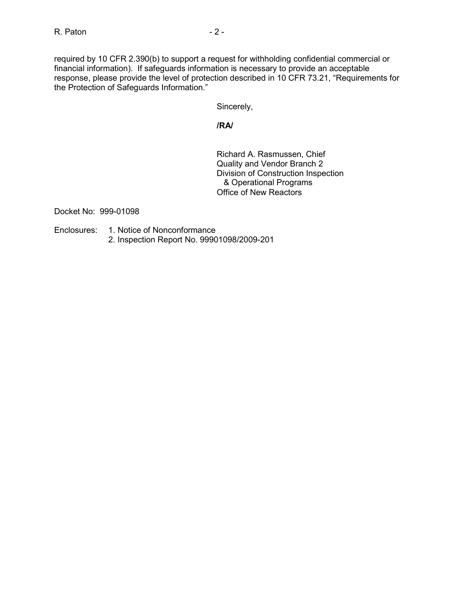required by 10 CFR 2.390(b) to support a request for withholding confidential commercial or financial information). If safeguards information is necessary to provide an acceptable response, please provide the level of protection described in 10 CFR 73.21, "Requirements for the Protection of Safeguards Information."

Sincerely,

## **/RA/**

Richard A. Rasmussen, Chief Quality and Vendor Branch 2 Division of Construction Inspection & Operational Programs Office of New Reactors

Docket No: 999-01098

- Enclosures: 1. Notice of Nonconformance
	- 2. Inspection Report No. 99901098/2009-201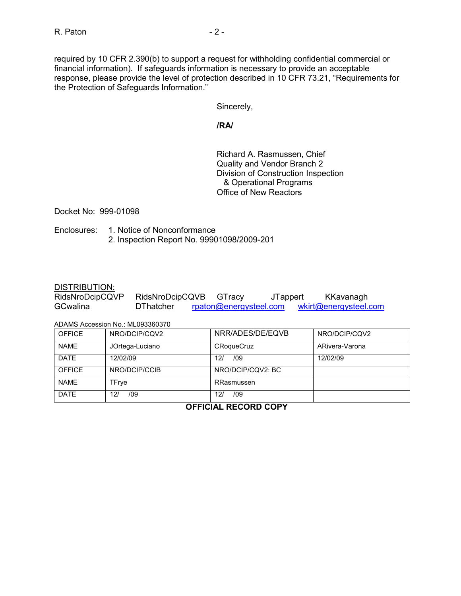required by 10 CFR 2.390(b) to support a request for withholding confidential commercial or financial information). If safeguards information is necessary to provide an acceptable response, please provide the level of protection described in 10 CFR 73.21, "Requirements for the Protection of Safeguards Information."

Sincerely,

## **/RA/**

Richard A. Rasmussen, Chief Quality and Vendor Branch 2 Division of Construction Inspection & Operational Programs Office of New Reactors

Docket No: 999-01098

Enclosures: 1. Notice of Nonconformance 2. Inspection Report No. 99901098/2009-201

#### DISTRIBUTION:

| RidsNroDcipCQVP | RidsNroDcipCQVB  | GTracy                 | <b>JTappert</b> | KKavanagh             |
|-----------------|------------------|------------------------|-----------------|-----------------------|
| GCwalina        | <b>DThatcher</b> | rpaton@energysteel.com |                 | wkirt@energysteel.com |

ADAMS Accession No.: ML093360370

| <b>OFFICE</b> | NRO/DCIP/CQV2   | NRR/ADES/DE/EQVB  | NRO/DCIP/CQV2  |
|---------------|-----------------|-------------------|----------------|
| <b>NAME</b>   | JOrtega-Luciano | <b>CRoqueCruz</b> | ARivera-Varona |
| <b>DATE</b>   | 12/02/09        | /09<br>12/        | 12/02/09       |
| <b>OFFICE</b> | NRO/DCIP/CCIB   | NRO/DCIP/CQV2: BC |                |
| <b>NAME</b>   | TFrye           | RRasmussen        |                |
| <b>DATE</b>   | /09<br>12/      | /09<br>12/        |                |

**OFFICIAL RECORD COPY**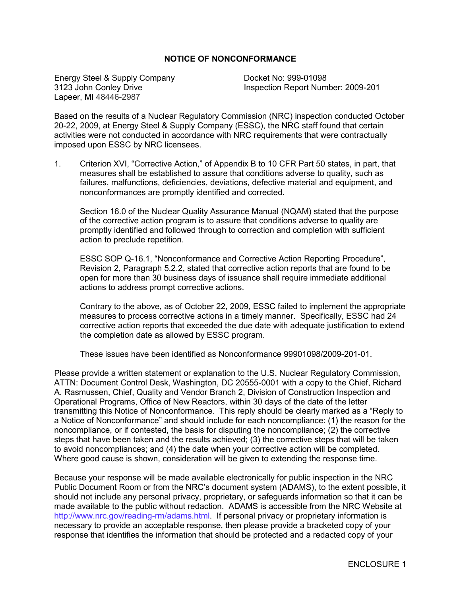### **NOTICE OF NONCONFORMANCE**

Energy Steel & Supply Company **Docket No: 999-01098**<br>3123 John Conley Drive **District Connection Report Num** Lapeer, MI 48446-2987

Inspection Report Number: 2009-201

Based on the results of a Nuclear Regulatory Commission (NRC) inspection conducted October 20-22, 2009, at Energy Steel & Supply Company (ESSC), the NRC staff found that certain activities were not conducted in accordance with NRC requirements that were contractually imposed upon ESSC by NRC licensees.

1. Criterion XVI, "Corrective Action," of Appendix B to 10 CFR Part 50 states, in part, that measures shall be established to assure that conditions adverse to quality, such as failures, malfunctions, deficiencies, deviations, defective material and equipment, and nonconformances are promptly identified and corrected.

Section 16.0 of the Nuclear Quality Assurance Manual (NQAM) stated that the purpose of the corrective action program is to assure that conditions adverse to quality are promptly identified and followed through to correction and completion with sufficient action to preclude repetition.

ESSC SOP Q-16.1, "Nonconformance and Corrective Action Reporting Procedure", Revision 2, Paragraph 5.2.2, stated that corrective action reports that are found to be open for more than 30 business days of issuance shall require immediate additional actions to address prompt corrective actions.

Contrary to the above, as of October 22, 2009, ESSC failed to implement the appropriate measures to process corrective actions in a timely manner. Specifically, ESSC had 24 corrective action reports that exceeded the due date with adequate justification to extend the completion date as allowed by ESSC program.

These issues have been identified as Nonconformance 99901098/2009-201-01.

Please provide a written statement or explanation to the U.S. Nuclear Regulatory Commission, ATTN: Document Control Desk, Washington, DC 20555-0001 with a copy to the Chief, Richard A. Rasmussen, Chief, Quality and Vendor Branch 2, Division of Construction Inspection and Operational Programs, Office of New Reactors, within 30 days of the date of the letter transmitting this Notice of Nonconformance. This reply should be clearly marked as a "Reply to a Notice of Nonconformance" and should include for each noncompliance: (1) the reason for the noncompliance, or if contested, the basis for disputing the noncompliance; (2) the corrective steps that have been taken and the results achieved; (3) the corrective steps that will be taken to avoid noncompliances; and (4) the date when your corrective action will be completed. Where good cause is shown, consideration will be given to extending the response time.

Because your response will be made available electronically for public inspection in the NRC Public Document Room or from the NRC's document system (ADAMS), to the extent possible, it should not include any personal privacy, proprietary, or safeguards information so that it can be made available to the public without redaction. ADAMS is accessible from the NRC Website at http://www.nrc.gov/reading-rm/adams.html. If personal privacy or proprietary information is necessary to provide an acceptable response, then please provide a bracketed copy of your response that identifies the information that should be protected and a redacted copy of your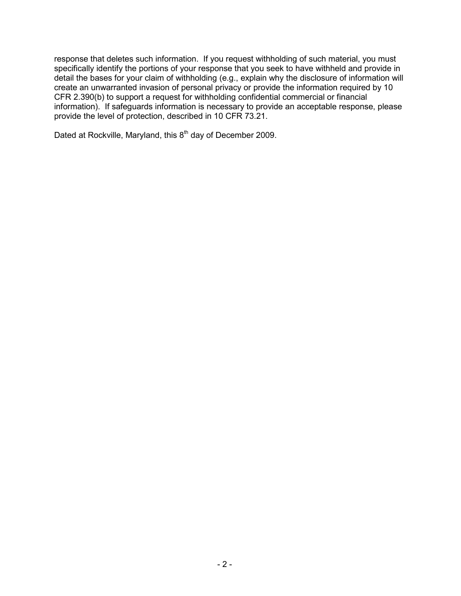response that deletes such information. If you request withholding of such material, you must specifically identify the portions of your response that you seek to have withheld and provide in detail the bases for your claim of withholding (e.g., explain why the disclosure of information will create an unwarranted invasion of personal privacy or provide the information required by 10 CFR 2.390(b) to support a request for withholding confidential commercial or financial information). If safeguards information is necessary to provide an acceptable response, please provide the level of protection, described in 10 CFR 73.21.

Dated at Rockville, Maryland, this 8<sup>th</sup> day of December 2009.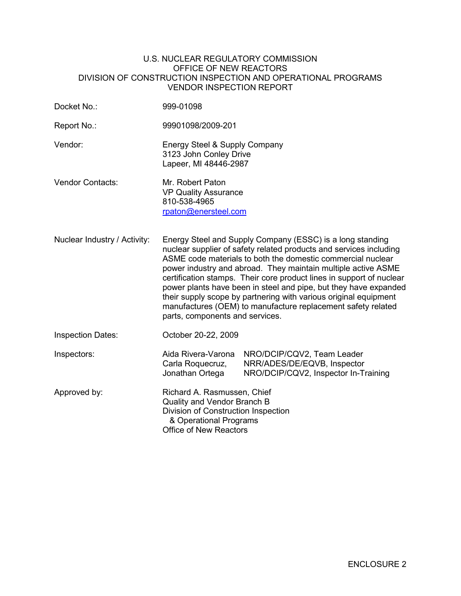#### U.S. NUCLEAR REGULATORY COMMISSION OFFICE OF NEW REACTORS DIVISION OF CONSTRUCTION INSPECTION AND OPERATIONAL PROGRAMS VENDOR INSPECTION REPORT

| Docket No.:                  | 999-01098                                                                                                                                                                                                                                                                                                                                                                                                                                                                                                                                                                          |                                                                                                   |  |  |
|------------------------------|------------------------------------------------------------------------------------------------------------------------------------------------------------------------------------------------------------------------------------------------------------------------------------------------------------------------------------------------------------------------------------------------------------------------------------------------------------------------------------------------------------------------------------------------------------------------------------|---------------------------------------------------------------------------------------------------|--|--|
| Report No.:                  | 99901098/2009-201                                                                                                                                                                                                                                                                                                                                                                                                                                                                                                                                                                  |                                                                                                   |  |  |
| Vendor:                      | Energy Steel & Supply Company<br>3123 John Conley Drive<br>Lapeer, MI 48446-2987                                                                                                                                                                                                                                                                                                                                                                                                                                                                                                   |                                                                                                   |  |  |
| <b>Vendor Contacts:</b>      | Mr. Robert Paton<br><b>VP Quality Assurance</b><br>810-538-4965<br>rpaton@enersteel.com                                                                                                                                                                                                                                                                                                                                                                                                                                                                                            |                                                                                                   |  |  |
| Nuclear Industry / Activity: | Energy Steel and Supply Company (ESSC) is a long standing<br>nuclear supplier of safety related products and services including<br>ASME code materials to both the domestic commercial nuclear<br>power industry and abroad. They maintain multiple active ASME<br>certification stamps. Their core product lines in support of nuclear<br>power plants have been in steel and pipe, but they have expanded<br>their supply scope by partnering with various original equipment<br>manufactures (OEM) to manufacture replacement safety related<br>parts, components and services. |                                                                                                   |  |  |
| <b>Inspection Dates:</b>     | October 20-22, 2009                                                                                                                                                                                                                                                                                                                                                                                                                                                                                                                                                                |                                                                                                   |  |  |
| Inspectors:                  | Aida Rivera-Varona<br>Carla Roquecruz,<br>Jonathan Ortega                                                                                                                                                                                                                                                                                                                                                                                                                                                                                                                          | NRO/DCIP/CQV2, Team Leader<br>NRR/ADES/DE/EQVB, Inspector<br>NRO/DCIP/CQV2, Inspector In-Training |  |  |
| Approved by:                 | Richard A. Rasmussen, Chief<br>Quality and Vendor Branch B<br>Division of Construction Inspection<br>& Operational Programs<br>Office of New Reactors                                                                                                                                                                                                                                                                                                                                                                                                                              |                                                                                                   |  |  |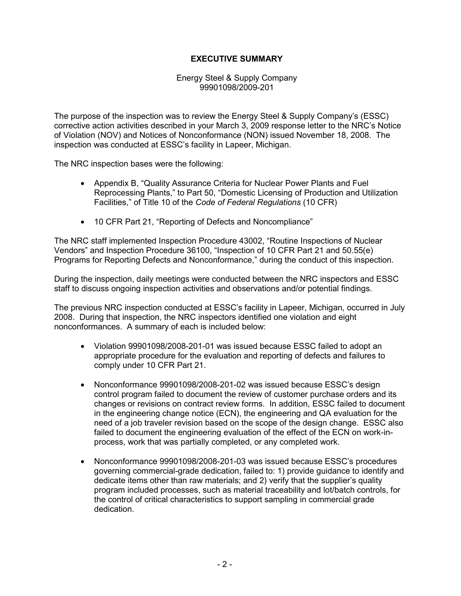## **EXECUTIVE SUMMARY**

Energy Steel & Supply Company 99901098/2009-201

The purpose of the inspection was to review the Energy Steel & Supply Company's (ESSC) corrective action activities described in your March 3, 2009 response letter to the NRC's Notice of Violation (NOV) and Notices of Nonconformance (NON) issued November 18, 2008. The inspection was conducted at ESSC's facility in Lapeer, Michigan.

The NRC inspection bases were the following:

- Appendix B, "Quality Assurance Criteria for Nuclear Power Plants and Fuel Reprocessing Plants," to Part 50, "Domestic Licensing of Production and Utilization Facilities," of Title 10 of the *Code of Federal Regulations* (10 CFR)
- 10 CFR Part 21, "Reporting of Defects and Noncompliance"

The NRC staff implemented Inspection Procedure 43002, "Routine Inspections of Nuclear Vendors" and Inspection Procedure 36100, "Inspection of 10 CFR Part 21 and 50.55(e) Programs for Reporting Defects and Nonconformance," during the conduct of this inspection.

During the inspection, daily meetings were conducted between the NRC inspectors and ESSC staff to discuss ongoing inspection activities and observations and/or potential findings.

The previous NRC inspection conducted at ESSC's facility in Lapeer, Michigan, occurred in July 2008. During that inspection, the NRC inspectors identified one violation and eight nonconformances. A summary of each is included below:

- Violation 99901098/2008-201-01 was issued because ESSC failed to adopt an appropriate procedure for the evaluation and reporting of defects and failures to comply under 10 CFR Part 21.
- Nonconformance 99901098/2008-201-02 was issued because ESSC's design control program failed to document the review of customer purchase orders and its changes or revisions on contract review forms. In addition, ESSC failed to document in the engineering change notice (ECN), the engineering and QA evaluation for the need of a job traveler revision based on the scope of the design change. ESSC also failed to document the engineering evaluation of the effect of the ECN on work-inprocess, work that was partially completed, or any completed work.
- Nonconformance 99901098/2008-201-03 was issued because ESSC's procedures governing commercial-grade dedication, failed to: 1) provide guidance to identify and dedicate items other than raw materials; and 2) verify that the supplier's quality program included processes, such as material traceability and lot/batch controls, for the control of critical characteristics to support sampling in commercial grade dedication.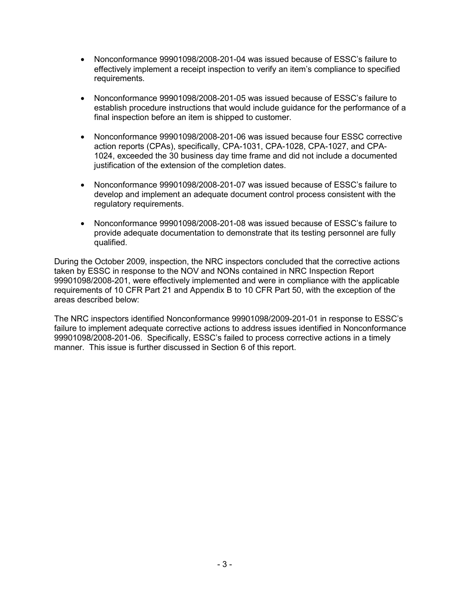- Nonconformance 99901098/2008-201-04 was issued because of ESSC's failure to effectively implement a receipt inspection to verify an item's compliance to specified requirements.
- Nonconformance 99901098/2008-201-05 was issued because of ESSC's failure to establish procedure instructions that would include guidance for the performance of a final inspection before an item is shipped to customer.
- Nonconformance 99901098/2008-201-06 was issued because four ESSC corrective action reports (CPAs), specifically, CPA-1031, CPA-1028, CPA-1027, and CPA-1024, exceeded the 30 business day time frame and did not include a documented justification of the extension of the completion dates.
- Nonconformance 99901098/2008-201-07 was issued because of ESSC's failure to develop and implement an adequate document control process consistent with the regulatory requirements.
- Nonconformance 99901098/2008-201-08 was issued because of ESSC's failure to provide adequate documentation to demonstrate that its testing personnel are fully qualified.

During the October 2009, inspection, the NRC inspectors concluded that the corrective actions taken by ESSC in response to the NOV and NONs contained in NRC Inspection Report 99901098/2008-201, were effectively implemented and were in compliance with the applicable requirements of 10 CFR Part 21 and Appendix B to 10 CFR Part 50, with the exception of the areas described below:

The NRC inspectors identified Nonconformance 99901098/2009-201-01 in response to ESSC's failure to implement adequate corrective actions to address issues identified in Nonconformance 99901098/2008-201-06. Specifically, ESSC's failed to process corrective actions in a timely manner. This issue is further discussed in Section 6 of this report.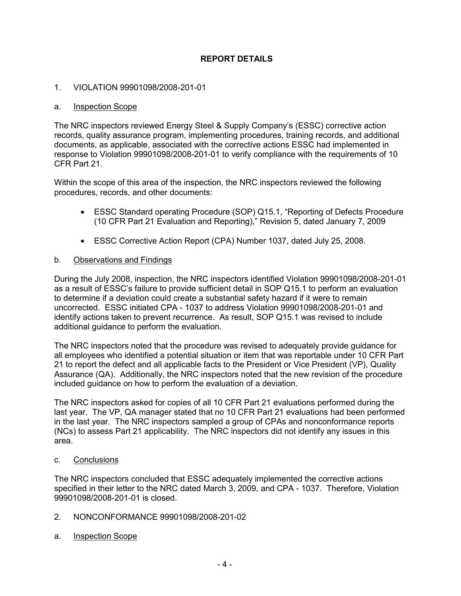# **REPORT DETAILS**

## 1. VIOLATION 99901098/2008-201-01

#### a. Inspection Scope

The NRC inspectors reviewed Energy Steel & Supply Company's (ESSC) corrective action records, quality assurance program, implementing procedures, training records, and additional documents, as applicable, associated with the corrective actions ESSC had implemented in response to Violation 99901098/2008-201-01 to verify compliance with the requirements of 10 CFR Part 21.

Within the scope of this area of the inspection, the NRC inspectors reviewed the following procedures, records, and other documents:

- ESSC Standard operating Procedure (SOP) Q15.1, "Reporting of Defects Procedure (10 CFR Part 21 Evaluation and Reporting)," Revision 5, dated January 7, 2009
- ESSC Corrective Action Report (CPA) Number 1037, dated July 25, 2008.

### b. Observations and Findings

During the July 2008, inspection, the NRC inspectors identified Violation 99901098/2008-201-01 as a result of ESSC's failure to provide sufficient detail in SOP Q15.1 to perform an evaluation to determine if a deviation could create a substantial safety hazard if it were to remain uncorrected. ESSC initiated CPA - 1037 to address Violation 99901098/2008-201-01 and identify actions taken to prevent recurrence. As result, SOP Q15.1 was revised to include additional guidance to perform the evaluation.

The NRC inspectors noted that the procedure was revised to adequately provide guidance for all employees who identified a potential situation or item that was reportable under 10 CFR Part 21 to report the defect and all applicable facts to the President or Vice President (VP), Quality Assurance (QA). Additionally, the NRC inspectors noted that the new revision of the procedure included guidance on how to perform the evaluation of a deviation.

The NRC inspectors asked for copies of all 10 CFR Part 21 evaluations performed during the last year. The VP, QA manager stated that no 10 CFR Part 21 evaluations had been performed in the last year. The NRC inspectors sampled a group of CPAs and nonconformance reports (NCs) to assess Part 21 applicability. The NRC inspectors did not identify any issues in this area.

#### c. Conclusions

The NRC inspectors concluded that ESSC adequately implemented the corrective actions specified in their letter to the NRC dated March 3, 2009, and CPA - 1037. Therefore, Violation 99901098/2008-201-01 is closed.

- 2. NONCONFORMANCE 99901098/2008-201-02
- a. Inspection Scope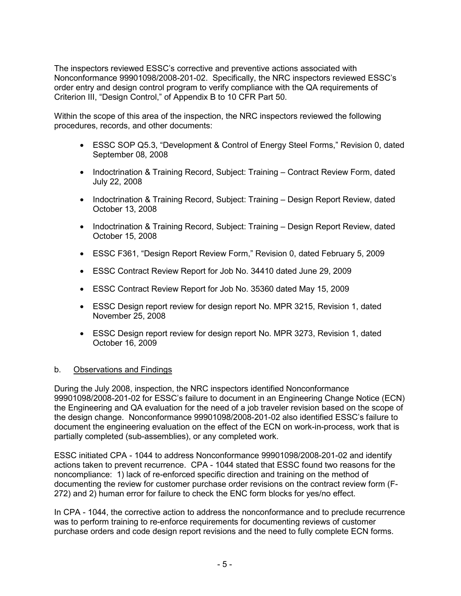The inspectors reviewed ESSC's corrective and preventive actions associated with Nonconformance 99901098/2008-201-02. Specifically, the NRC inspectors reviewed ESSC's order entry and design control program to verify compliance with the QA requirements of Criterion III, "Design Control," of Appendix B to 10 CFR Part 50.

Within the scope of this area of the inspection, the NRC inspectors reviewed the following procedures, records, and other documents:

- ESSC SOP Q5.3, "Development & Control of Energy Steel Forms," Revision 0, dated September 08, 2008
- Indoctrination & Training Record, Subject: Training Contract Review Form, dated July 22, 2008
- Indoctrination & Training Record, Subject: Training Design Report Review, dated October 13, 2008
- Indoctrination & Training Record, Subject: Training Design Report Review, dated October 15, 2008
- ESSC F361, "Design Report Review Form," Revision 0, dated February 5, 2009
- ESSC Contract Review Report for Job No. 34410 dated June 29, 2009
- ESSC Contract Review Report for Job No. 35360 dated May 15, 2009
- ESSC Design report review for design report No. MPR 3215, Revision 1, dated November 25, 2008
- ESSC Design report review for design report No. MPR 3273, Revision 1, dated October 16, 2009

### b. Observations and Findings

During the July 2008, inspection, the NRC inspectors identified Nonconformance 99901098/2008-201-02 for ESSC's failure to document in an Engineering Change Notice (ECN) the Engineering and QA evaluation for the need of a job traveler revision based on the scope of the design change. Nonconformance 99901098/2008-201-02 also identified ESSC's failure to document the engineering evaluation on the effect of the ECN on work-in-process, work that is partially completed (sub-assemblies), or any completed work.

ESSC initiated CPA - 1044 to address Nonconformance 99901098/2008-201-02 and identify actions taken to prevent recurrence. CPA - 1044 stated that ESSC found two reasons for the noncompliance: 1) lack of re-enforced specific direction and training on the method of documenting the review for customer purchase order revisions on the contract review form (F-272) and 2) human error for failure to check the ENC form blocks for yes/no effect.

In CPA - 1044, the corrective action to address the nonconformance and to preclude recurrence was to perform training to re-enforce requirements for documenting reviews of customer purchase orders and code design report revisions and the need to fully complete ECN forms.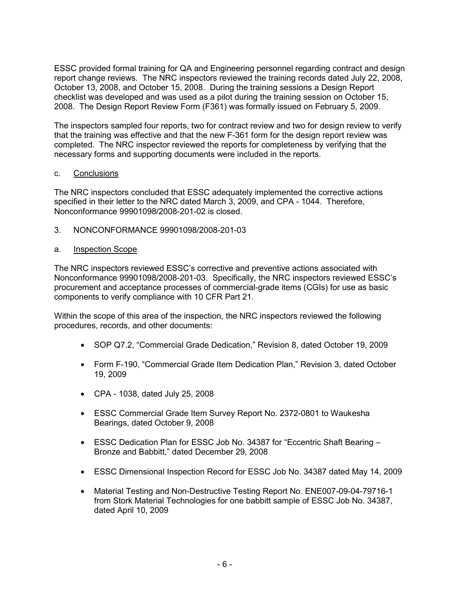ESSC provided formal training for QA and Engineering personnel regarding contract and design report change reviews. The NRC inspectors reviewed the training records dated July 22, 2008, October 13, 2008, and October 15, 2008. During the training sessions a Design Report checklist was developed and was used as a pilot during the training session on October 15, 2008. The Design Report Review Form (F361) was formally issued on February 5, 2009.

The inspectors sampled four reports, two for contract review and two for design review to verify that the training was effective and that the new F-361 form for the design report review was completed. The NRC inspector reviewed the reports for completeness by verifying that the necessary forms and supporting documents were included in the reports.

### c. Conclusions

The NRC inspectors concluded that ESSC adequately implemented the corrective actions specified in their letter to the NRC dated March 3, 2009, and CPA - 1044. Therefore, Nonconformance 99901098/2008-201-02 is closed.

3. NONCONFORMANCE 99901098/2008-201-03

## a. Inspection Scope

The NRC inspectors reviewed ESSC's corrective and preventive actions associated with Nonconformance 99901098/2008-201-03. Specifically, the NRC inspectors reviewed ESSC's procurement and acceptance processes of commercial-grade items (CGIs) for use as basic components to verify compliance with 10 CFR Part 21.

Within the scope of this area of the inspection, the NRC inspectors reviewed the following procedures, records, and other documents:

- SOP Q7.2, "Commercial Grade Dedication," Revision 8, dated October 19, 2009
- Form F-190, "Commercial Grade Item Dedication Plan," Revision 3, dated October 19, 2009
- CPA 1038, dated July 25, 2008
- ESSC Commercial Grade Item Survey Report No. 2372-0801 to Waukesha Bearings, dated October 9, 2008
- ESSC Dedication Plan for ESSC Job No. 34387 for "Eccentric Shaft Bearing Bronze and Babbitt," dated December 29, 2008
- ESSC Dimensional Inspection Record for ESSC Job No. 34387 dated May 14, 2009
- Material Testing and Non-Destructive Testing Report No. ENE007-09-04-79716-1 from Stork Material Technologies for one babbitt sample of ESSC Job No. 34387, dated April 10, 2009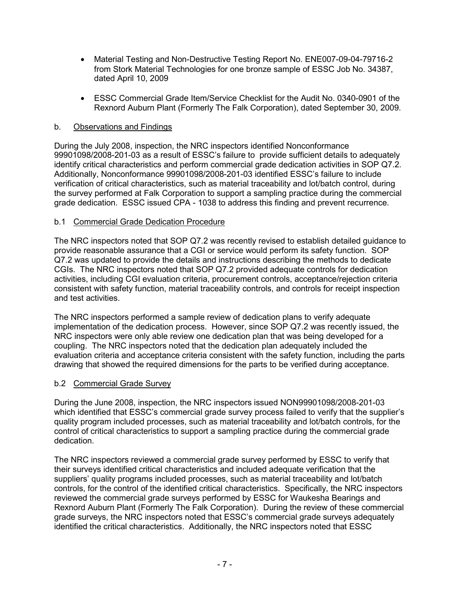- Material Testing and Non-Destructive Testing Report No. ENE007-09-04-79716-2 from Stork Material Technologies for one bronze sample of ESSC Job No. 34387, dated April 10, 2009
- ESSC Commercial Grade Item/Service Checklist for the Audit No. 0340-0901 of the Rexnord Auburn Plant (Formerly The Falk Corporation), dated September 30, 2009.

## b. Observations and Findings

During the July 2008, inspection, the NRC inspectors identified Nonconformance 99901098/2008-201-03 as a result of ESSC's failure to provide sufficient details to adequately identify critical characteristics and perform commercial grade dedication activities in SOP Q7.2. Additionally, Nonconformance 99901098/2008-201-03 identified ESSC's failure to include verification of critical characteristics, such as material traceability and lot/batch control, during the survey performed at Falk Corporation to support a sampling practice during the commercial grade dedication. ESSC issued CPA - 1038 to address this finding and prevent recurrence.

### b.1 Commercial Grade Dedication Procedure

The NRC inspectors noted that SOP Q7.2 was recently revised to establish detailed guidance to provide reasonable assurance that a CGI or service would perform its safety function. SOP Q7.2 was updated to provide the details and instructions describing the methods to dedicate CGIs. The NRC inspectors noted that SOP Q7.2 provided adequate controls for dedication activities, including CGI evaluation criteria, procurement controls, acceptance/rejection criteria consistent with safety function, material traceability controls, and controls for receipt inspection and test activities.

The NRC inspectors performed a sample review of dedication plans to verify adequate implementation of the dedication process. However, since SOP Q7.2 was recently issued, the NRC inspectors were only able review one dedication plan that was being developed for a coupling. The NRC inspectors noted that the dedication plan adequately included the evaluation criteria and acceptance criteria consistent with the safety function, including the parts drawing that showed the required dimensions for the parts to be verified during acceptance.

### b.2 Commercial Grade Survey

During the June 2008, inspection, the NRC inspectors issued NON99901098/2008-201-03 which identified that ESSC's commercial grade survey process failed to verify that the supplier's quality program included processes, such as material traceability and lot/batch controls, for the control of critical characteristics to support a sampling practice during the commercial grade dedication.

The NRC inspectors reviewed a commercial grade survey performed by ESSC to verify that their surveys identified critical characteristics and included adequate verification that the suppliers' quality programs included processes, such as material traceability and lot/batch controls, for the control of the identified critical characteristics. Specifically, the NRC inspectors reviewed the commercial grade surveys performed by ESSC for Waukesha Bearings and Rexnord Auburn Plant (Formerly The Falk Corporation). During the review of these commercial grade surveys, the NRC inspectors noted that ESSC's commercial grade surveys adequately identified the critical characteristics. Additionally, the NRC inspectors noted that ESSC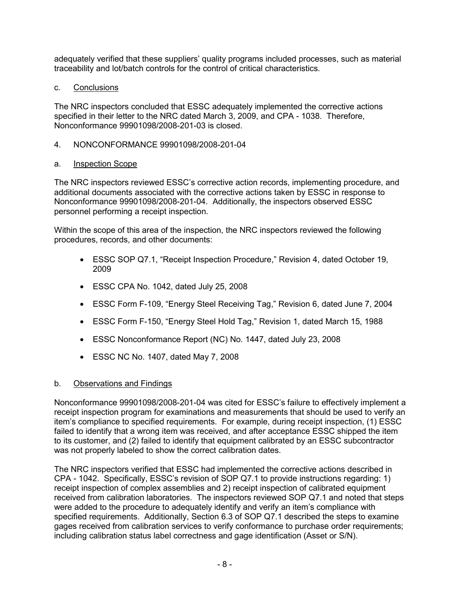adequately verified that these suppliers' quality programs included processes, such as material traceability and lot/batch controls for the control of critical characteristics.

# c. Conclusions

The NRC inspectors concluded that ESSC adequately implemented the corrective actions specified in their letter to the NRC dated March 3, 2009, and CPA - 1038. Therefore, Nonconformance 99901098/2008-201-03 is closed.

# 4. NONCONFORMANCE 99901098/2008-201-04

# a. Inspection Scope

The NRC inspectors reviewed ESSC's corrective action records, implementing procedure, and additional documents associated with the corrective actions taken by ESSC in response to Nonconformance 99901098/2008-201-04. Additionally, the inspectors observed ESSC personnel performing a receipt inspection.

Within the scope of this area of the inspection, the NRC inspectors reviewed the following procedures, records, and other documents:

- ESSC SOP Q7.1, "Receipt Inspection Procedure," Revision 4, dated October 19, 2009
- ESSC CPA No. 1042, dated July 25, 2008
- ESSC Form F-109, "Energy Steel Receiving Tag," Revision 6, dated June 7, 2004
- ESSC Form F-150, "Energy Steel Hold Tag," Revision 1, dated March 15, 1988
- ESSC Nonconformance Report (NC) No. 1447, dated July 23, 2008
- ESSC NC No. 1407, dated May 7, 2008

# b. Observations and Findings

Nonconformance 99901098/2008-201-04 was cited for ESSC's failure to effectively implement a receipt inspection program for examinations and measurements that should be used to verify an item's compliance to specified requirements. For example, during receipt inspection, (1) ESSC failed to identify that a wrong item was received, and after acceptance ESSC shipped the item to its customer, and (2) failed to identify that equipment calibrated by an ESSC subcontractor was not properly labeled to show the correct calibration dates.

The NRC inspectors verified that ESSC had implemented the corrective actions described in CPA - 1042. Specifically, ESSC's revision of SOP Q7.1 to provide instructions regarding: 1) receipt inspection of complex assemblies and 2) receipt inspection of calibrated equipment received from calibration laboratories. The inspectors reviewed SOP Q7.1 and noted that steps were added to the procedure to adequately identify and verify an item's compliance with specified requirements. Additionally, Section 6.3 of SOP Q7.1 described the steps to examine gages received from calibration services to verify conformance to purchase order requirements; including calibration status label correctness and gage identification (Asset or S/N).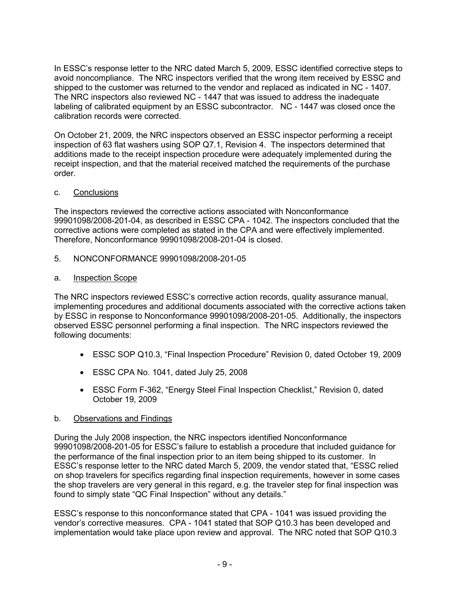In ESSC's response letter to the NRC dated March 5, 2009, ESSC identified corrective steps to avoid noncompliance. The NRC inspectors verified that the wrong item received by ESSC and shipped to the customer was returned to the vendor and replaced as indicated in NC - 1407. The NRC inspectors also reviewed NC - 1447 that was issued to address the inadequate labeling of calibrated equipment by an ESSC subcontractor. NC - 1447 was closed once the calibration records were corrected.

On October 21, 2009, the NRC inspectors observed an ESSC inspector performing a receipt inspection of 63 flat washers using SOP Q7.1, Revision 4. The inspectors determined that additions made to the receipt inspection procedure were adequately implemented during the receipt inspection, and that the material received matched the requirements of the purchase order.

## c. Conclusions

The inspectors reviewed the corrective actions associated with Nonconformance 99901098/2008-201-04, as described in ESSC CPA - 1042. The inspectors concluded that the corrective actions were completed as stated in the CPA and were effectively implemented. Therefore, Nonconformance 99901098/2008-201-04 is closed.

- 5. NONCONFORMANCE 99901098/2008-201-05
- a. Inspection Scope

The NRC inspectors reviewed ESSC's corrective action records, quality assurance manual, implementing procedures and additional documents associated with the corrective actions taken by ESSC in response to Nonconformance 99901098/2008-201-05. Additionally, the inspectors observed ESSC personnel performing a final inspection. The NRC inspectors reviewed the following documents:

- ESSC SOP Q10.3, "Final Inspection Procedure" Revision 0, dated October 19, 2009
- ESSC CPA No. 1041, dated July 25, 2008
- ESSC Form F-362, "Energy Steel Final Inspection Checklist," Revision 0, dated October 19, 2009

### b. Observations and Findings

During the July 2008 inspection, the NRC inspectors identified Nonconformance 99901098/2008-201-05 for ESSC's failure to establish a procedure that included guidance for the performance of the final inspection prior to an item being shipped to its customer. In ESSC's response letter to the NRC dated March 5, 2009, the vendor stated that, "ESSC relied on shop travelers for specifics regarding final inspection requirements, however in some cases the shop travelers are very general in this regard, e.g. the traveler step for final inspection was found to simply state "QC Final Inspection" without any details."

ESSC's response to this nonconformance stated that CPA - 1041 was issued providing the vendor's corrective measures. CPA - 1041 stated that SOP Q10.3 has been developed and implementation would take place upon review and approval. The NRC noted that SOP Q10.3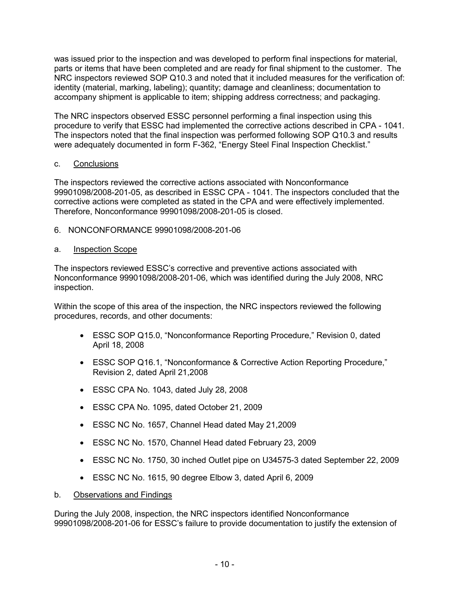was issued prior to the inspection and was developed to perform final inspections for material, parts or items that have been completed and are ready for final shipment to the customer. The NRC inspectors reviewed SOP Q10.3 and noted that it included measures for the verification of: identity (material, marking, labeling); quantity; damage and cleanliness; documentation to accompany shipment is applicable to item; shipping address correctness; and packaging.

The NRC inspectors observed ESSC personnel performing a final inspection using this procedure to verify that ESSC had implemented the corrective actions described in CPA - 1041. The inspectors noted that the final inspection was performed following SOP Q10.3 and results were adequately documented in form F-362, "Energy Steel Final Inspection Checklist."

## c. Conclusions

The inspectors reviewed the corrective actions associated with Nonconformance 99901098/2008-201-05, as described in ESSC CPA - 1041. The inspectors concluded that the corrective actions were completed as stated in the CPA and were effectively implemented. Therefore, Nonconformance 99901098/2008-201-05 is closed.

6. NONCONFORMANCE 99901098/2008-201-06

## a. Inspection Scope

The inspectors reviewed ESSC's corrective and preventive actions associated with Nonconformance 99901098/2008-201-06, which was identified during the July 2008, NRC inspection.

Within the scope of this area of the inspection, the NRC inspectors reviewed the following procedures, records, and other documents:

- ESSC SOP Q15.0, "Nonconformance Reporting Procedure," Revision 0, dated April 18, 2008
- ESSC SOP Q16.1, "Nonconformance & Corrective Action Reporting Procedure," Revision 2, dated April 21,2008
- ESSC CPA No. 1043, dated July 28, 2008
- ESSC CPA No. 1095, dated October 21, 2009
- ESSC NC No. 1657, Channel Head dated May 21,2009
- ESSC NC No. 1570, Channel Head dated February 23, 2009
- ESSC NC No. 1750, 30 inched Outlet pipe on U34575-3 dated September 22, 2009
- ESSC NC No. 1615, 90 degree Elbow 3, dated April 6, 2009
- b. Observations and Findings

During the July 2008, inspection, the NRC inspectors identified Nonconformance 99901098/2008-201-06 for ESSC's failure to provide documentation to justify the extension of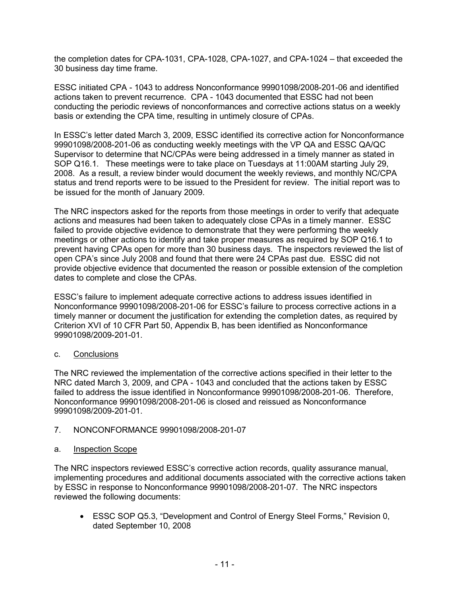the completion dates for CPA-1031, CPA-1028, CPA-1027, and CPA-1024 – that exceeded the 30 business day time frame.

ESSC initiated CPA - 1043 to address Nonconformance 99901098/2008-201-06 and identified actions taken to prevent recurrence. CPA - 1043 documented that ESSC had not been conducting the periodic reviews of nonconformances and corrective actions status on a weekly basis or extending the CPA time, resulting in untimely closure of CPAs.

In ESSC's letter dated March 3, 2009, ESSC identified its corrective action for Nonconformance 99901098/2008-201-06 as conducting weekly meetings with the VP QA and ESSC QA/QC Supervisor to determine that NC/CPAs were being addressed in a timely manner as stated in SOP Q16.1. These meetings were to take place on Tuesdays at 11:00AM starting July 29, 2008. As a result, a review binder would document the weekly reviews, and monthly NC/CPA status and trend reports were to be issued to the President for review. The initial report was to be issued for the month of January 2009.

The NRC inspectors asked for the reports from those meetings in order to verify that adequate actions and measures had been taken to adequately close CPAs in a timely manner. ESSC failed to provide objective evidence to demonstrate that they were performing the weekly meetings or other actions to identify and take proper measures as required by SOP Q16.1 to prevent having CPAs open for more than 30 business days. The inspectors reviewed the list of open CPA's since July 2008 and found that there were 24 CPAs past due. ESSC did not provide objective evidence that documented the reason or possible extension of the completion dates to complete and close the CPAs.

ESSC's failure to implement adequate corrective actions to address issues identified in Nonconformance 99901098/2008-201-06 for ESSC's failure to process corrective actions in a timely manner or document the justification for extending the completion dates, as required by Criterion XVI of 10 CFR Part 50, Appendix B, has been identified as Nonconformance 99901098/2009-201-01.

### c. Conclusions

The NRC reviewed the implementation of the corrective actions specified in their letter to the NRC dated March 3, 2009, and CPA - 1043 and concluded that the actions taken by ESSC failed to address the issue identified in Nonconformance 99901098/2008-201-06. Therefore, Nonconformance 99901098/2008-201-06 is closed and reissued as Nonconformance 99901098/2009-201-01.

### 7. NONCONFORMANCE 99901098/2008-201-07

### a. Inspection Scope

The NRC inspectors reviewed ESSC's corrective action records, quality assurance manual, implementing procedures and additional documents associated with the corrective actions taken by ESSC in response to Nonconformance 99901098/2008-201-07. The NRC inspectors reviewed the following documents:

• ESSC SOP Q5.3, "Development and Control of Energy Steel Forms," Revision 0, dated September 10, 2008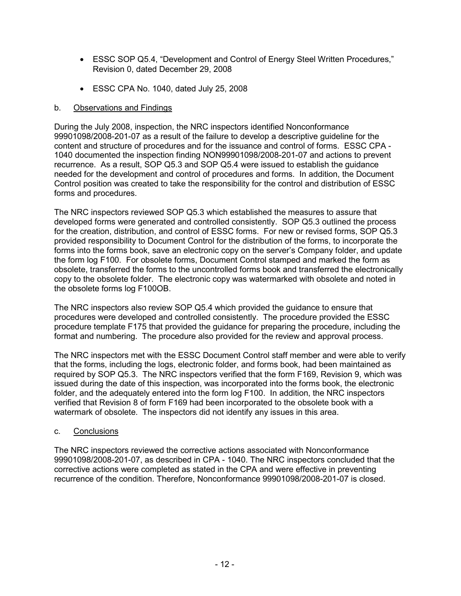- ESSC SOP Q5.4, "Development and Control of Energy Steel Written Procedures," Revision 0, dated December 29, 2008
- ESSC CPA No. 1040, dated July 25, 2008

## b. Observations and Findings

During the July 2008, inspection, the NRC inspectors identified Nonconformance 99901098/2008-201-07 as a result of the failure to develop a descriptive guideline for the content and structure of procedures and for the issuance and control of forms. ESSC CPA - 1040 documented the inspection finding NON99901098/2008-201-07 and actions to prevent recurrence. As a result, SOP Q5.3 and SOP Q5.4 were issued to establish the guidance needed for the development and control of procedures and forms. In addition, the Document Control position was created to take the responsibility for the control and distribution of ESSC forms and procedures.

The NRC inspectors reviewed SOP Q5.3 which established the measures to assure that developed forms were generated and controlled consistently. SOP Q5.3 outlined the process for the creation, distribution, and control of ESSC forms. For new or revised forms, SOP Q5.3 provided responsibility to Document Control for the distribution of the forms, to incorporate the forms into the forms book, save an electronic copy on the server's Company folder, and update the form log F100. For obsolete forms, Document Control stamped and marked the form as obsolete, transferred the forms to the uncontrolled forms book and transferred the electronically copy to the obsolete folder. The electronic copy was watermarked with obsolete and noted in the obsolete forms log F100OB.

The NRC inspectors also review SOP Q5.4 which provided the guidance to ensure that procedures were developed and controlled consistently. The procedure provided the ESSC procedure template F175 that provided the guidance for preparing the procedure, including the format and numbering. The procedure also provided for the review and approval process.

The NRC inspectors met with the ESSC Document Control staff member and were able to verify that the forms, including the logs, electronic folder, and forms book, had been maintained as required by SOP Q5.3. The NRC inspectors verified that the form F169, Revision 9, which was issued during the date of this inspection, was incorporated into the forms book, the electronic folder, and the adequately entered into the form log F100. In addition, the NRC inspectors verified that Revision 8 of form F169 had been incorporated to the obsolete book with a watermark of obsolete. The inspectors did not identify any issues in this area.

### c. Conclusions

The NRC inspectors reviewed the corrective actions associated with Nonconformance 99901098/2008-201-07, as described in CPA - 1040. The NRC inspectors concluded that the corrective actions were completed as stated in the CPA and were effective in preventing recurrence of the condition. Therefore, Nonconformance 99901098/2008-201-07 is closed.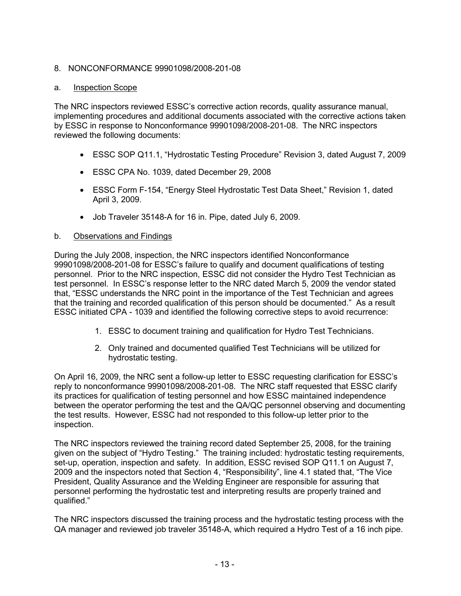## 8. NONCONFORMANCE 99901098/2008-201-08

### a. Inspection Scope

The NRC inspectors reviewed ESSC's corrective action records, quality assurance manual, implementing procedures and additional documents associated with the corrective actions taken by ESSC in response to Nonconformance 99901098/2008-201-08. The NRC inspectors reviewed the following documents:

- ESSC SOP Q11.1, "Hydrostatic Testing Procedure" Revision 3, dated August 7, 2009
- ESSC CPA No. 1039, dated December 29, 2008
- ESSC Form F-154, "Energy Steel Hydrostatic Test Data Sheet," Revision 1, dated April 3, 2009.
- Job Traveler 35148-A for 16 in. Pipe, dated July 6, 2009.

## b. Observations and Findings

During the July 2008, inspection, the NRC inspectors identified Nonconformance 99901098/2008-201-08 for ESSC's failure to qualify and document qualifications of testing personnel. Prior to the NRC inspection, ESSC did not consider the Hydro Test Technician as test personnel. In ESSC's response letter to the NRC dated March 5, 2009 the vendor stated that, "ESSC understands the NRC point in the importance of the Test Technician and agrees that the training and recorded qualification of this person should be documented." As a result ESSC initiated CPA - 1039 and identified the following corrective steps to avoid recurrence:

- 1. ESSC to document training and qualification for Hydro Test Technicians.
- 2. Only trained and documented qualified Test Technicians will be utilized for hydrostatic testing.

On April 16, 2009, the NRC sent a follow-up letter to ESSC requesting clarification for ESSC's reply to nonconformance 99901098/2008-201-08. The NRC staff requested that ESSC clarify its practices for qualification of testing personnel and how ESSC maintained independence between the operator performing the test and the QA/QC personnel observing and documenting the test results. However, ESSC had not responded to this follow-up letter prior to the inspection.

The NRC inspectors reviewed the training record dated September 25, 2008, for the training given on the subject of "Hydro Testing." The training included: hydrostatic testing requirements, set-up, operation, inspection and safety. In addition, ESSC revised SOP Q11.1 on August 7, 2009 and the inspectors noted that Section 4, "Responsibility", line 4.1 stated that, "The Vice President, Quality Assurance and the Welding Engineer are responsible for assuring that personnel performing the hydrostatic test and interpreting results are properly trained and qualified."

The NRC inspectors discussed the training process and the hydrostatic testing process with the QA manager and reviewed job traveler 35148-A, which required a Hydro Test of a 16 inch pipe.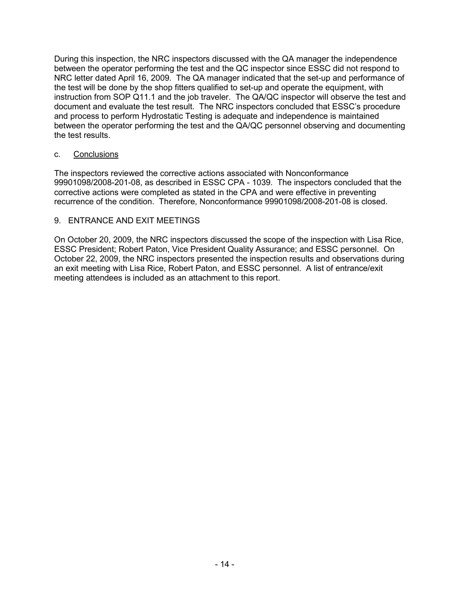During this inspection, the NRC inspectors discussed with the QA manager the independence between the operator performing the test and the QC inspector since ESSC did not respond to NRC letter dated April 16, 2009. The QA manager indicated that the set-up and performance of the test will be done by the shop fitters qualified to set-up and operate the equipment, with instruction from SOP Q11.1 and the job traveler. The QA/QC inspector will observe the test and document and evaluate the test result. The NRC inspectors concluded that ESSC's procedure and process to perform Hydrostatic Testing is adequate and independence is maintained between the operator performing the test and the QA/QC personnel observing and documenting the test results.

## c. Conclusions

The inspectors reviewed the corrective actions associated with Nonconformance 99901098/2008-201-08, as described in ESSC CPA - 1039. The inspectors concluded that the corrective actions were completed as stated in the CPA and were effective in preventing recurrence of the condition. Therefore, Nonconformance 99901098/2008-201-08 is closed.

## 9. ENTRANCE AND EXIT MEETINGS

On October 20, 2009, the NRC inspectors discussed the scope of the inspection with Lisa Rice, ESSC President; Robert Paton, Vice President Quality Assurance; and ESSC personnel. On October 22, 2009, the NRC inspectors presented the inspection results and observations during an exit meeting with Lisa Rice, Robert Paton, and ESSC personnel. A list of entrance/exit meeting attendees is included as an attachment to this report.